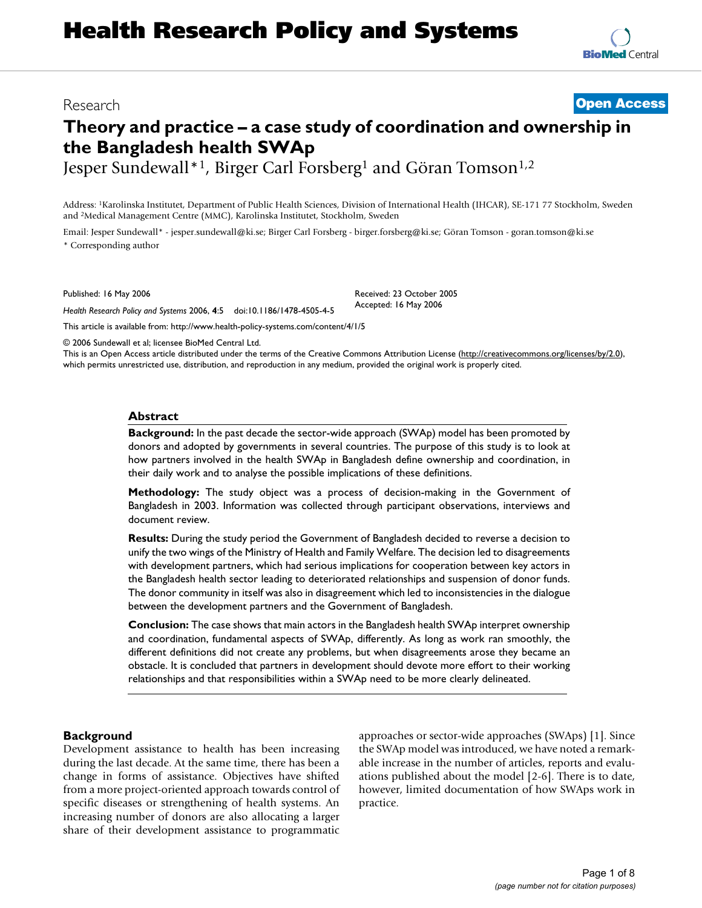# **Theory and practice – a case study of coordination and ownership in the Bangladesh health SWAp**

Jesper Sundewall\*<sup>1</sup>, Birger Carl Forsberg<sup>1</sup> and Göran Tomson<sup>1,2</sup>

Address: 1Karolinska Institutet, Department of Public Health Sciences, Division of International Health (IHCAR), SE-171 77 Stockholm, Sweden and 2Medical Management Centre (MMC), Karolinska Institutet, Stockholm, Sweden

Email: Jesper Sundewall\* - jesper.sundewall@ki.se; Birger Carl Forsberg - birger.forsberg@ki.se; Göran Tomson - goran.tomson@ki.se \* Corresponding author

Published: 16 May 2006

*Health Research Policy and Systems* 2006, **4**:5 doi:10.1186/1478-4505-4-5

[This article is available from: http://www.health-policy-systems.com/content/4/1/5](http://www.health-policy-systems.com/content/4/1/5)

© 2006 Sundewall et al; licensee BioMed Central Ltd.

This is an Open Access article distributed under the terms of the Creative Commons Attribution License [\(http://creativecommons.org/licenses/by/2.0\)](http://creativecommons.org/licenses/by/2.0), which permits unrestricted use, distribution, and reproduction in any medium, provided the original work is properly cited.

# **Abstract**

**Background:** In the past decade the sector-wide approach (SWAp) model has been promoted by donors and adopted by governments in several countries. The purpose of this study is to look at how partners involved in the health SWAp in Bangladesh define ownership and coordination, in their daily work and to analyse the possible implications of these definitions.

**Methodology:** The study object was a process of decision-making in the Government of Bangladesh in 2003. Information was collected through participant observations, interviews and document review.

**Results:** During the study period the Government of Bangladesh decided to reverse a decision to unify the two wings of the Ministry of Health and Family Welfare. The decision led to disagreements with development partners, which had serious implications for cooperation between key actors in the Bangladesh health sector leading to deteriorated relationships and suspension of donor funds. The donor community in itself was also in disagreement which led to inconsistencies in the dialogue between the development partners and the Government of Bangladesh.

**Conclusion:** The case shows that main actors in the Bangladesh health SWAp interpret ownership and coordination, fundamental aspects of SWAp, differently. As long as work ran smoothly, the different definitions did not create any problems, but when disagreements arose they became an obstacle. It is concluded that partners in development should devote more effort to their working relationships and that responsibilities within a SWAp need to be more clearly delineated.

# **Background**

Development assistance to health has been increasing during the last decade. At the same time, there has been a change in forms of assistance. Objectives have shifted from a more project-oriented approach towards control of specific diseases or strengthening of health systems. An increasing number of donors are also allocating a larger share of their development assistance to programmatic approaches or sector-wide approaches (SWAps) [1]. Since the SWAp model was introduced, we have noted a remarkable increase in the number of articles, reports and evaluations published about the model [2-6]. There is to date, however, limited documentation of how SWAps work in practice.

# Research **[Open Access](http://www.biomedcentral.com/info/about/charter/)**

Received: 23 October 2005 Accepted: 16 May 2006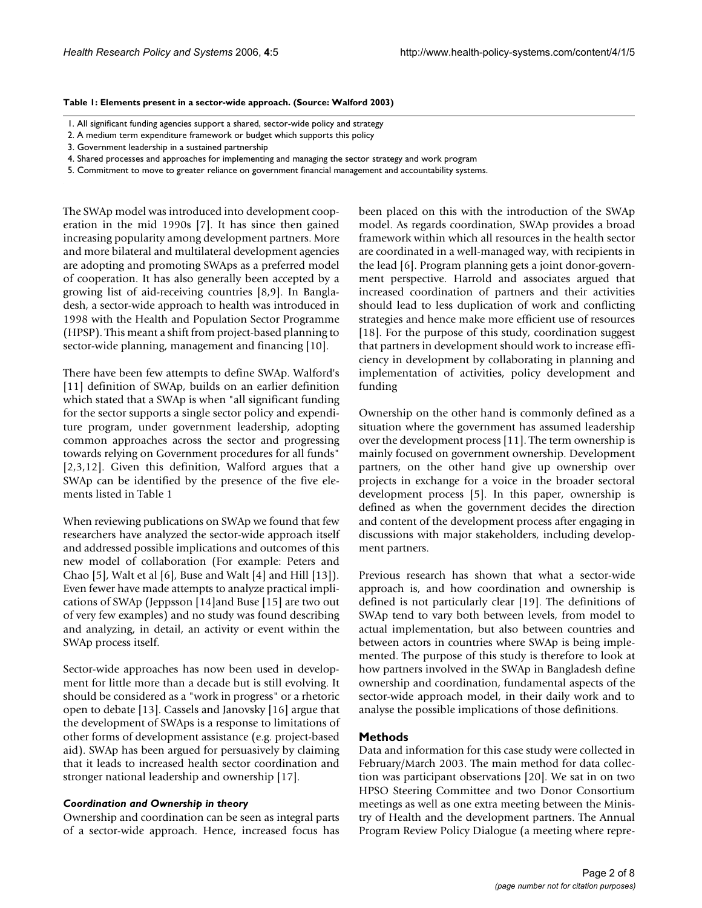#### **Table 1: Elements present in a sector-wide approach. (Source: Walford 2003)**

- 1. All significant funding agencies support a shared, sector-wide policy and strategy
- 2. A medium term expenditure framework or budget which supports this policy
- 3. Government leadership in a sustained partnership
- 4. Shared processes and approaches for implementing and managing the sector strategy and work program
- 5. Commitment to move to greater reliance on government financial management and accountability systems.

The SWAp model was introduced into development cooperation in the mid 1990s [7]. It has since then gained increasing popularity among development partners. More and more bilateral and multilateral development agencies are adopting and promoting SWAps as a preferred model of cooperation. It has also generally been accepted by a growing list of aid-receiving countries [8,9]. In Bangladesh, a sector-wide approach to health was introduced in 1998 with the Health and Population Sector Programme (HPSP). This meant a shift from project-based planning to sector-wide planning, management and financing [10].

There have been few attempts to define SWAp. Walford's [11] definition of SWAp, builds on an earlier definition which stated that a SWAp is when "all significant funding for the sector supports a single sector policy and expenditure program, under government leadership, adopting common approaches across the sector and progressing towards relying on Government procedures for all funds" [2,3,12]. Given this definition, Walford argues that a SWAp can be identified by the presence of the five elements listed in Table 1

When reviewing publications on SWAp we found that few researchers have analyzed the sector-wide approach itself and addressed possible implications and outcomes of this new model of collaboration (For example: Peters and Chao [5], Walt et al [6], Buse and Walt [4] and Hill [13]). Even fewer have made attempts to analyze practical implications of SWAp (Jeppsson [14]and Buse [15] are two out of very few examples) and no study was found describing and analyzing, in detail, an activity or event within the SWAp process itself.

Sector-wide approaches has now been used in development for little more than a decade but is still evolving. It should be considered as a "work in progress" or a rhetoric open to debate [13]. Cassels and Janovsky [16] argue that the development of SWAps is a response to limitations of other forms of development assistance (e.g. project-based aid). SWAp has been argued for persuasively by claiming that it leads to increased health sector coordination and stronger national leadership and ownership [17].

#### *Coordination and Ownership in theory*

Ownership and coordination can be seen as integral parts of a sector-wide approach. Hence, increased focus has been placed on this with the introduction of the SWAp model. As regards coordination, SWAp provides a broad framework within which all resources in the health sector are coordinated in a well-managed way, with recipients in the lead [6]. Program planning gets a joint donor-government perspective. Harrold and associates argued that increased coordination of partners and their activities should lead to less duplication of work and conflicting strategies and hence make more efficient use of resources [18]. For the purpose of this study, coordination suggest that partners in development should work to increase efficiency in development by collaborating in planning and implementation of activities, policy development and funding

Ownership on the other hand is commonly defined as a situation where the government has assumed leadership over the development process [11]. The term ownership is mainly focused on government ownership. Development partners, on the other hand give up ownership over projects in exchange for a voice in the broader sectoral development process [5]. In this paper, ownership is defined as when the government decides the direction and content of the development process after engaging in discussions with major stakeholders, including development partners.

Previous research has shown that what a sector-wide approach is, and how coordination and ownership is defined is not particularly clear [19]. The definitions of SWAp tend to vary both between levels, from model to actual implementation, but also between countries and between actors in countries where SWAp is being implemented. The purpose of this study is therefore to look at how partners involved in the SWAp in Bangladesh define ownership and coordination, fundamental aspects of the sector-wide approach model, in their daily work and to analyse the possible implications of those definitions.

#### **Methods**

Data and information for this case study were collected in February/March 2003. The main method for data collection was participant observations [20]. We sat in on two HPSO Steering Committee and two Donor Consortium meetings as well as one extra meeting between the Ministry of Health and the development partners. The Annual Program Review Policy Dialogue (a meeting where repre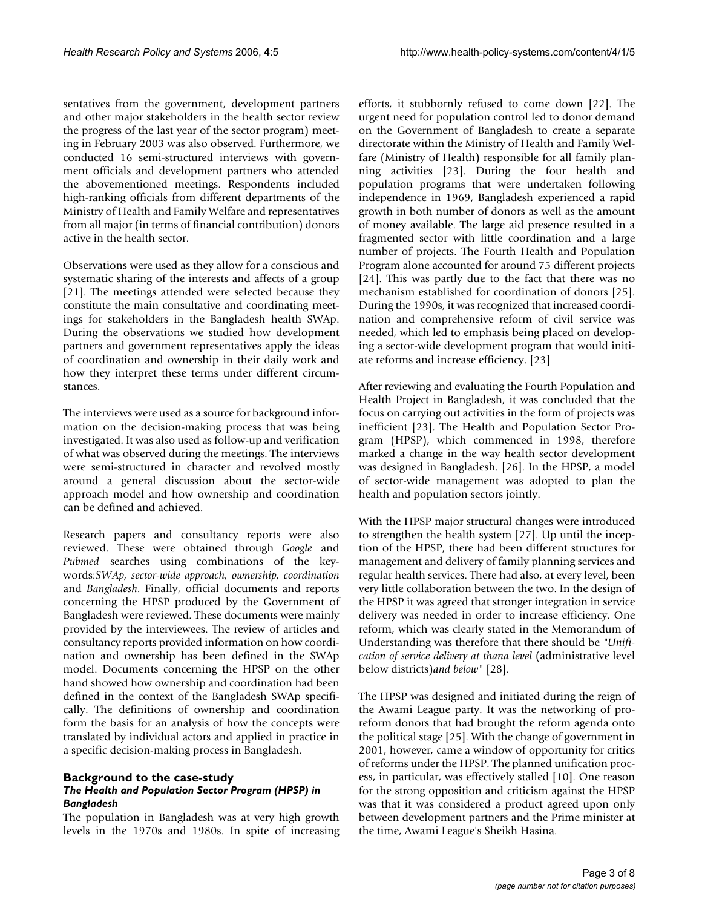sentatives from the government, development partners and other major stakeholders in the health sector review the progress of the last year of the sector program) meeting in February 2003 was also observed. Furthermore, we conducted 16 semi-structured interviews with government officials and development partners who attended the abovementioned meetings. Respondents included high-ranking officials from different departments of the Ministry of Health and Family Welfare and representatives from all major (in terms of financial contribution) donors active in the health sector.

Observations were used as they allow for a conscious and systematic sharing of the interests and affects of a group [21]. The meetings attended were selected because they constitute the main consultative and coordinating meetings for stakeholders in the Bangladesh health SWAp. During the observations we studied how development partners and government representatives apply the ideas of coordination and ownership in their daily work and how they interpret these terms under different circumstances.

The interviews were used as a source for background information on the decision-making process that was being investigated. It was also used as follow-up and verification of what was observed during the meetings. The interviews were semi-structured in character and revolved mostly around a general discussion about the sector-wide approach model and how ownership and coordination can be defined and achieved.

Research papers and consultancy reports were also reviewed. These were obtained through *Google* and *Pubmed* searches using combinations of the keywords:*SWAp, sector-wide approach, ownership, coordination* and *Bangladesh*. Finally, official documents and reports concerning the HPSP produced by the Government of Bangladesh were reviewed. These documents were mainly provided by the interviewees. The review of articles and consultancy reports provided information on how coordination and ownership has been defined in the SWAp model. Documents concerning the HPSP on the other hand showed how ownership and coordination had been defined in the context of the Bangladesh SWAp specifically. The definitions of ownership and coordination form the basis for an analysis of how the concepts were translated by individual actors and applied in practice in a specific decision-making process in Bangladesh.

# **Background to the case-study** *The Health and Population Sector Program (HPSP) in Bangladesh*

The population in Bangladesh was at very high growth levels in the 1970s and 1980s. In spite of increasing efforts, it stubbornly refused to come down [22]. The urgent need for population control led to donor demand on the Government of Bangladesh to create a separate directorate within the Ministry of Health and Family Welfare (Ministry of Health) responsible for all family planning activities [23]. During the four health and population programs that were undertaken following independence in 1969, Bangladesh experienced a rapid growth in both number of donors as well as the amount of money available. The large aid presence resulted in a fragmented sector with little coordination and a large number of projects. The Fourth Health and Population Program alone accounted for around 75 different projects [24]. This was partly due to the fact that there was no mechanism established for coordination of donors [25]. During the 1990s, it was recognized that increased coordination and comprehensive reform of civil service was needed, which led to emphasis being placed on developing a sector-wide development program that would initiate reforms and increase efficiency. [23]

After reviewing and evaluating the Fourth Population and Health Project in Bangladesh, it was concluded that the focus on carrying out activities in the form of projects was inefficient [23]. The Health and Population Sector Program (HPSP), which commenced in 1998, therefore marked a change in the way health sector development was designed in Bangladesh. [26]. In the HPSP, a model of sector-wide management was adopted to plan the health and population sectors jointly.

With the HPSP major structural changes were introduced to strengthen the health system [27]. Up until the inception of the HPSP, there had been different structures for management and delivery of family planning services and regular health services. There had also, at every level, been very little collaboration between the two. In the design of the HPSP it was agreed that stronger integration in service delivery was needed in order to increase efficiency. One reform, which was clearly stated in the Memorandum of Understanding was therefore that there should be *"Unification of service delivery at thana level* (administrative level below districts)*and below"* [28].

The HPSP was designed and initiated during the reign of the Awami League party. It was the networking of proreform donors that had brought the reform agenda onto the political stage [25]. With the change of government in 2001, however, came a window of opportunity for critics of reforms under the HPSP. The planned unification process, in particular, was effectively stalled [10]. One reason for the strong opposition and criticism against the HPSP was that it was considered a product agreed upon only between development partners and the Prime minister at the time, Awami League's Sheikh Hasina.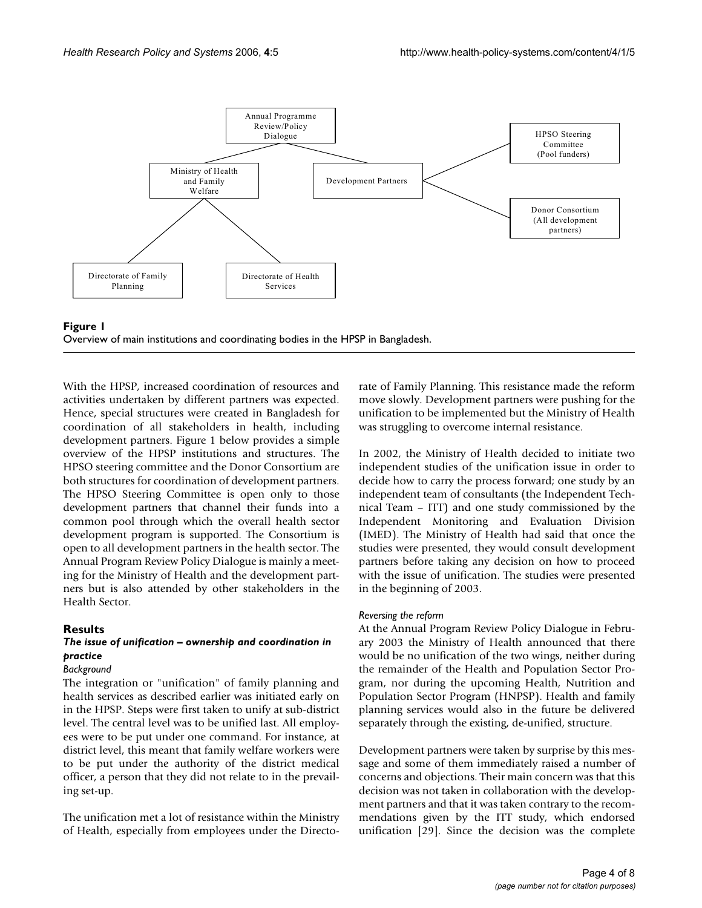



With the HPSP, increased coordination of resources and activities undertaken by different partners was expected. Hence, special structures were created in Bangladesh for coordination of all stakeholders in health, including development partners. Figure 1 below provides a simple overview of the HPSP institutions and structures. The HPSO steering committee and the Donor Consortium are both structures for coordination of development partners. The HPSO Steering Committee is open only to those development partners that channel their funds into a common pool through which the overall health sector development program is supported. The Consortium is open to all development partners in the health sector. The Annual Program Review Policy Dialogue is mainly a meeting for the Ministry of Health and the development partners but is also attended by other stakeholders in the Health Sector.

# **Results**

# *The issue of unification – ownership and coordination in practice*

# *Background*

The integration or "unification" of family planning and health services as described earlier was initiated early on in the HPSP. Steps were first taken to unify at sub-district level. The central level was to be unified last. All employees were to be put under one command. For instance, at district level, this meant that family welfare workers were to be put under the authority of the district medical officer, a person that they did not relate to in the prevailing set-up.

The unification met a lot of resistance within the Ministry of Health, especially from employees under the Directorate of Family Planning. This resistance made the reform move slowly. Development partners were pushing for the unification to be implemented but the Ministry of Health was struggling to overcome internal resistance.

In 2002, the Ministry of Health decided to initiate two independent studies of the unification issue in order to decide how to carry the process forward; one study by an independent team of consultants (the Independent Technical Team – ITT) and one study commissioned by the Independent Monitoring and Evaluation Division (IMED). The Ministry of Health had said that once the studies were presented, they would consult development partners before taking any decision on how to proceed with the issue of unification. The studies were presented in the beginning of 2003.

# *Reversing the reform*

At the Annual Program Review Policy Dialogue in February 2003 the Ministry of Health announced that there would be no unification of the two wings, neither during the remainder of the Health and Population Sector Program, nor during the upcoming Health, Nutrition and Population Sector Program (HNPSP). Health and family planning services would also in the future be delivered separately through the existing, de-unified, structure.

Development partners were taken by surprise by this message and some of them immediately raised a number of concerns and objections. Their main concern was that this decision was not taken in collaboration with the development partners and that it was taken contrary to the recommendations given by the ITT study, which endorsed unification [29]. Since the decision was the complete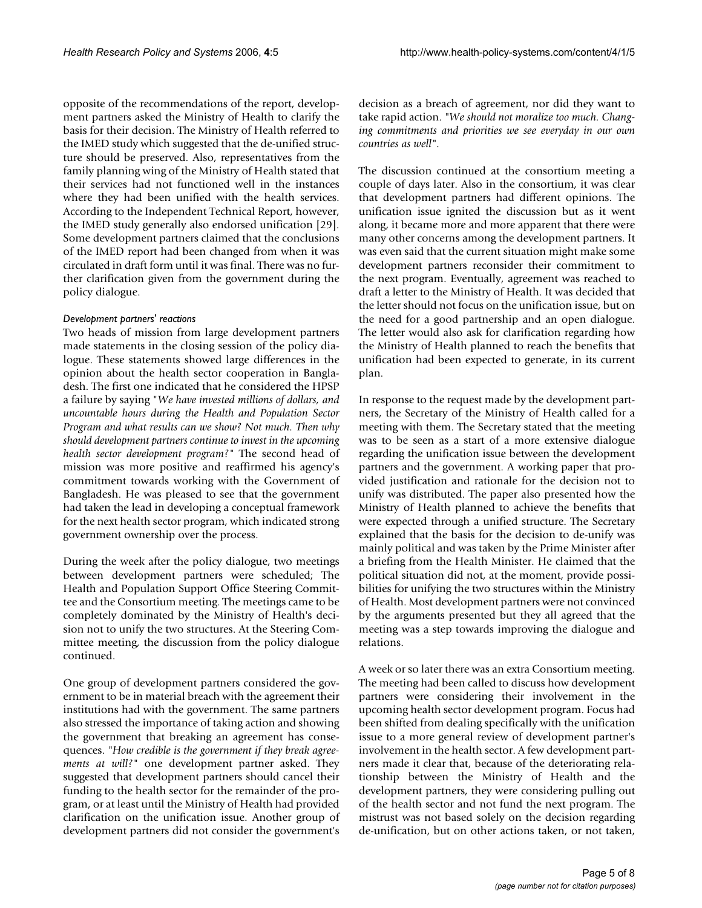opposite of the recommendations of the report, development partners asked the Ministry of Health to clarify the basis for their decision. The Ministry of Health referred to the IMED study which suggested that the de-unified structure should be preserved. Also, representatives from the family planning wing of the Ministry of Health stated that their services had not functioned well in the instances where they had been unified with the health services. According to the Independent Technical Report, however, the IMED study generally also endorsed unification [29]. Some development partners claimed that the conclusions of the IMED report had been changed from when it was circulated in draft form until it was final. There was no further clarification given from the government during the policy dialogue.

# *Development partners' reactions*

Two heads of mission from large development partners made statements in the closing session of the policy dialogue. These statements showed large differences in the opinion about the health sector cooperation in Bangladesh. The first one indicated that he considered the HPSP a failure by saying "*We have invested millions of dollars, and uncountable hours during the Health and Population Sector Program and what results can we show? Not much. Then why should development partners continue to invest in the upcoming health sector development program?"* The second head of mission was more positive and reaffirmed his agency's commitment towards working with the Government of Bangladesh. He was pleased to see that the government had taken the lead in developing a conceptual framework for the next health sector program, which indicated strong government ownership over the process.

During the week after the policy dialogue, two meetings between development partners were scheduled; The Health and Population Support Office Steering Committee and the Consortium meeting. The meetings came to be completely dominated by the Ministry of Health's decision not to unify the two structures. At the Steering Committee meeting, the discussion from the policy dialogue continued.

One group of development partners considered the government to be in material breach with the agreement their institutions had with the government. The same partners also stressed the importance of taking action and showing the government that breaking an agreement has consequences. *"How credible is the government if they break agreements at will?"* one development partner asked. They suggested that development partners should cancel their funding to the health sector for the remainder of the program, or at least until the Ministry of Health had provided clarification on the unification issue. Another group of development partners did not consider the government's decision as a breach of agreement, nor did they want to take rapid action. *"We should not moralize too much. Changing commitments and priorities we see everyday in our own countries as well"*.

The discussion continued at the consortium meeting a couple of days later. Also in the consortium, it was clear that development partners had different opinions. The unification issue ignited the discussion but as it went along, it became more and more apparent that there were many other concerns among the development partners. It was even said that the current situation might make some development partners reconsider their commitment to the next program. Eventually, agreement was reached to draft a letter to the Ministry of Health. It was decided that the letter should not focus on the unification issue, but on the need for a good partnership and an open dialogue. The letter would also ask for clarification regarding how the Ministry of Health planned to reach the benefits that unification had been expected to generate, in its current plan.

In response to the request made by the development partners, the Secretary of the Ministry of Health called for a meeting with them. The Secretary stated that the meeting was to be seen as a start of a more extensive dialogue regarding the unification issue between the development partners and the government. A working paper that provided justification and rationale for the decision not to unify was distributed. The paper also presented how the Ministry of Health planned to achieve the benefits that were expected through a unified structure. The Secretary explained that the basis for the decision to de-unify was mainly political and was taken by the Prime Minister after a briefing from the Health Minister. He claimed that the political situation did not, at the moment, provide possibilities for unifying the two structures within the Ministry of Health. Most development partners were not convinced by the arguments presented but they all agreed that the meeting was a step towards improving the dialogue and relations.

A week or so later there was an extra Consortium meeting. The meeting had been called to discuss how development partners were considering their involvement in the upcoming health sector development program. Focus had been shifted from dealing specifically with the unification issue to a more general review of development partner's involvement in the health sector. A few development partners made it clear that, because of the deteriorating relationship between the Ministry of Health and the development partners, they were considering pulling out of the health sector and not fund the next program. The mistrust was not based solely on the decision regarding de-unification, but on other actions taken, or not taken,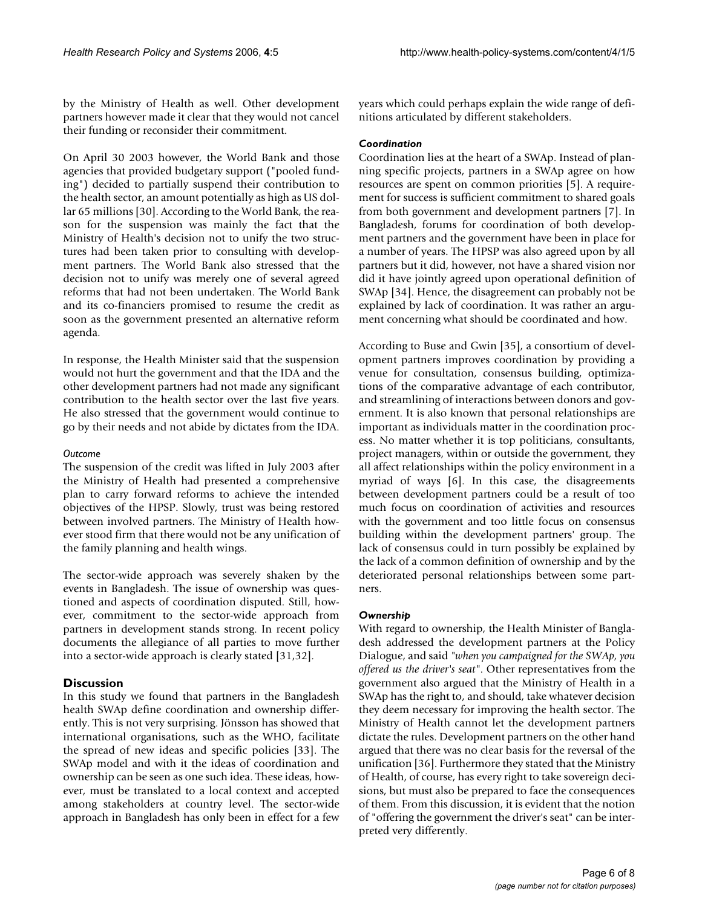by the Ministry of Health as well. Other development partners however made it clear that they would not cancel their funding or reconsider their commitment.

On April 30 2003 however, the World Bank and those agencies that provided budgetary support ("pooled funding") decided to partially suspend their contribution to the health sector, an amount potentially as high as US dollar 65 millions [30]. According to the World Bank, the reason for the suspension was mainly the fact that the Ministry of Health's decision not to unify the two structures had been taken prior to consulting with development partners. The World Bank also stressed that the decision not to unify was merely one of several agreed reforms that had not been undertaken. The World Bank and its co-financiers promised to resume the credit as soon as the government presented an alternative reform agenda.

In response, the Health Minister said that the suspension would not hurt the government and that the IDA and the other development partners had not made any significant contribution to the health sector over the last five years. He also stressed that the government would continue to go by their needs and not abide by dictates from the IDA.

#### *Outcome*

The suspension of the credit was lifted in July 2003 after the Ministry of Health had presented a comprehensive plan to carry forward reforms to achieve the intended objectives of the HPSP. Slowly, trust was being restored between involved partners. The Ministry of Health however stood firm that there would not be any unification of the family planning and health wings.

The sector-wide approach was severely shaken by the events in Bangladesh. The issue of ownership was questioned and aspects of coordination disputed. Still, however, commitment to the sector-wide approach from partners in development stands strong. In recent policy documents the allegiance of all parties to move further into a sector-wide approach is clearly stated [31,32].

# **Discussion**

In this study we found that partners in the Bangladesh health SWAp define coordination and ownership differently. This is not very surprising. Jönsson has showed that international organisations, such as the WHO, facilitate the spread of new ideas and specific policies [33]. The SWAp model and with it the ideas of coordination and ownership can be seen as one such idea. These ideas, however, must be translated to a local context and accepted among stakeholders at country level. The sector-wide approach in Bangladesh has only been in effect for a few

years which could perhaps explain the wide range of definitions articulated by different stakeholders.

#### *Coordination*

Coordination lies at the heart of a SWAp. Instead of planning specific projects, partners in a SWAp agree on how resources are spent on common priorities [5]. A requirement for success is sufficient commitment to shared goals from both government and development partners [7]. In Bangladesh, forums for coordination of both development partners and the government have been in place for a number of years. The HPSP was also agreed upon by all partners but it did, however, not have a shared vision nor did it have jointly agreed upon operational definition of SWAp [34]. Hence, the disagreement can probably not be explained by lack of coordination. It was rather an argument concerning what should be coordinated and how.

According to Buse and Gwin [35], a consortium of development partners improves coordination by providing a venue for consultation, consensus building, optimizations of the comparative advantage of each contributor, and streamlining of interactions between donors and government. It is also known that personal relationships are important as individuals matter in the coordination process. No matter whether it is top politicians, consultants, project managers, within or outside the government, they all affect relationships within the policy environment in a myriad of ways [6]. In this case, the disagreements between development partners could be a result of too much focus on coordination of activities and resources with the government and too little focus on consensus building within the development partners' group. The lack of consensus could in turn possibly be explained by the lack of a common definition of ownership and by the deteriorated personal relationships between some partners.

#### *Ownership*

With regard to ownership, the Health Minister of Bangladesh addressed the development partners at the Policy Dialogue, and said *"when you campaigned for the SWAp, you offered us the driver's seat"*. Other representatives from the government also argued that the Ministry of Health in a SWAp has the right to, and should, take whatever decision they deem necessary for improving the health sector. The Ministry of Health cannot let the development partners dictate the rules. Development partners on the other hand argued that there was no clear basis for the reversal of the unification [36]. Furthermore they stated that the Ministry of Health, of course, has every right to take sovereign decisions, but must also be prepared to face the consequences of them. From this discussion, it is evident that the notion of "offering the government the driver's seat" can be interpreted very differently.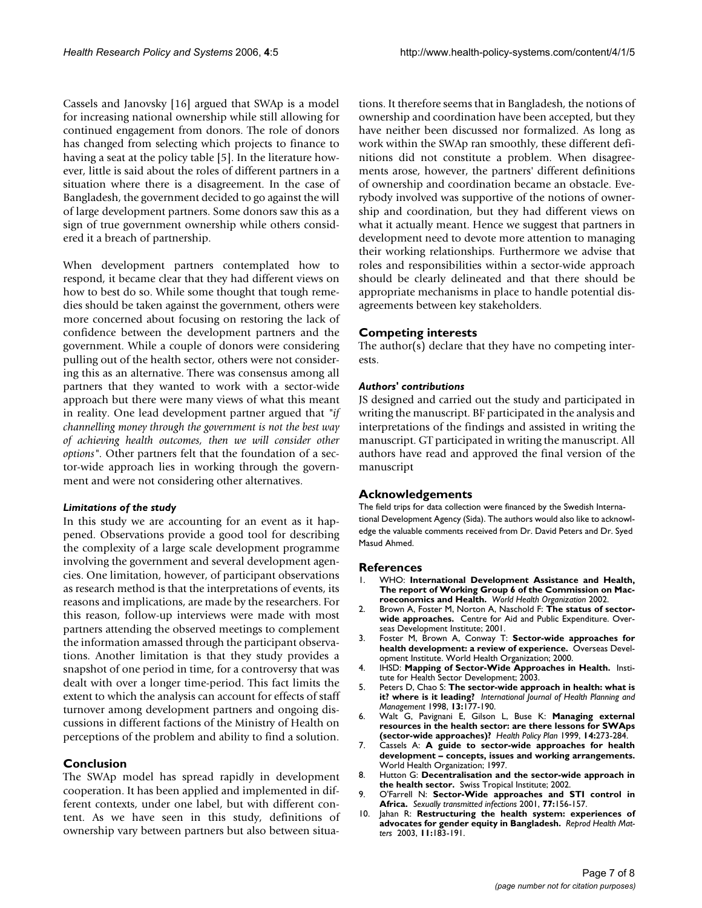Cassels and Janovsky [16] argued that SWAp is a model for increasing national ownership while still allowing for continued engagement from donors. The role of donors has changed from selecting which projects to finance to having a seat at the policy table [5]. In the literature however, little is said about the roles of different partners in a situation where there is a disagreement. In the case of Bangladesh, the government decided to go against the will of large development partners. Some donors saw this as a sign of true government ownership while others considered it a breach of partnership.

When development partners contemplated how to respond, it became clear that they had different views on how to best do so. While some thought that tough remedies should be taken against the government, others were more concerned about focusing on restoring the lack of confidence between the development partners and the government. While a couple of donors were considering pulling out of the health sector, others were not considering this as an alternative. There was consensus among all partners that they wanted to work with a sector-wide approach but there were many views of what this meant in reality. One lead development partner argued that *"if channelling money through the government is not the best way of achieving health outcomes, then we will consider other options"*. Other partners felt that the foundation of a sector-wide approach lies in working through the government and were not considering other alternatives.

# *Limitations of the study*

In this study we are accounting for an event as it happened. Observations provide a good tool for describing the complexity of a large scale development programme involving the government and several development agencies. One limitation, however, of participant observations as research method is that the interpretations of events, its reasons and implications, are made by the researchers. For this reason, follow-up interviews were made with most partners attending the observed meetings to complement the information amassed through the participant observations. Another limitation is that they study provides a snapshot of one period in time, for a controversy that was dealt with over a longer time-period. This fact limits the extent to which the analysis can account for effects of staff turnover among development partners and ongoing discussions in different factions of the Ministry of Health on perceptions of the problem and ability to find a solution.

# **Conclusion**

The SWAp model has spread rapidly in development cooperation. It has been applied and implemented in different contexts, under one label, but with different content. As we have seen in this study, definitions of ownership vary between partners but also between situations. It therefore seems that in Bangladesh, the notions of ownership and coordination have been accepted, but they have neither been discussed nor formalized. As long as work within the SWAp ran smoothly, these different definitions did not constitute a problem. When disagreements arose, however, the partners' different definitions of ownership and coordination became an obstacle. Everybody involved was supportive of the notions of ownership and coordination, but they had different views on what it actually meant. Hence we suggest that partners in development need to devote more attention to managing their working relationships. Furthermore we advise that roles and responsibilities within a sector-wide approach should be clearly delineated and that there should be appropriate mechanisms in place to handle potential disagreements between key stakeholders.

# **Competing interests**

The author(s) declare that they have no competing interests.

#### *Authors' contributions*

JS designed and carried out the study and participated in writing the manuscript. BF participated in the analysis and interpretations of the findings and assisted in writing the manuscript. GT participated in writing the manuscript. All authors have read and approved the final version of the manuscript

#### **Acknowledgements**

The field trips for data collection were financed by the Swedish International Development Agency (Sida). The authors would also like to acknowledge the valuable comments received from Dr. David Peters and Dr. Syed Masud Ahmed.

#### **References**

- 1. WHO: **International Development Assistance and Health, The report of Working Group 6 of the Commission on Macroeconomics and Health.** *World Health Organization* 2002.
- 2. Brown A, Foster M, Norton A, Naschold F: **The status of sectorwide approaches.** Centre for Aid and Public Expenditure. Overseas Development Institute; 2001.
- 3. Foster M, Brown A, Conway T: **Sector-wide approaches for health development: a review of experience.** Overseas Development Institute. World Health Organization; 2000.
- 4. IHSD: **Mapping of Sector-Wide Approaches in Health.** Institute for Health Sector Development; 2003.
- 5. Peters D, Chao S: **The sector-wide approach in health: what is it? where is it leading?** *International Journal of Health Planning and Management* 1998, **13:**177-190.
- 6. Walt G, Pavignani E, Gilson L, Buse K: **[Managing external](http://www.ncbi.nlm.nih.gov/entrez/query.fcgi?cmd=Retrieve&db=PubMed&dopt=Abstract&list_uids=10621244) [resources in the health sector: are there lessons for SWAps](http://www.ncbi.nlm.nih.gov/entrez/query.fcgi?cmd=Retrieve&db=PubMed&dopt=Abstract&list_uids=10621244) [\(sector-wide approaches\)?](http://www.ncbi.nlm.nih.gov/entrez/query.fcgi?cmd=Retrieve&db=PubMed&dopt=Abstract&list_uids=10621244)** *Health Policy Plan* 1999, **14:**273-284.
- 7. Cassels A: **A guide to sector-wide approaches for health development – concepts, issues and working arrangements.** World Health Organization; 1997.
- 8. Hutton G: **Decentralisation and the sector-wide approach in the health sector.** Swiss Tropical Institute; 2002.
- 9. O'Farrell N: **[Sector-Wide approaches and STI control in](http://www.ncbi.nlm.nih.gov/entrez/query.fcgi?cmd=Retrieve&db=PubMed&dopt=Abstract&list_uids=11402221) [Africa.](http://www.ncbi.nlm.nih.gov/entrez/query.fcgi?cmd=Retrieve&db=PubMed&dopt=Abstract&list_uids=11402221)** *Sexually transmitted infections* 2001, **77:**156-157.
- 10. Jahan R: **[Restructuring the health system: experiences of](http://www.ncbi.nlm.nih.gov/entrez/query.fcgi?cmd=Retrieve&db=PubMed&dopt=Abstract&list_uids=12800715) [advocates for gender equity in Bangladesh.](http://www.ncbi.nlm.nih.gov/entrez/query.fcgi?cmd=Retrieve&db=PubMed&dopt=Abstract&list_uids=12800715)** *Reprod Health Matters* 2003, **11:**183-191.